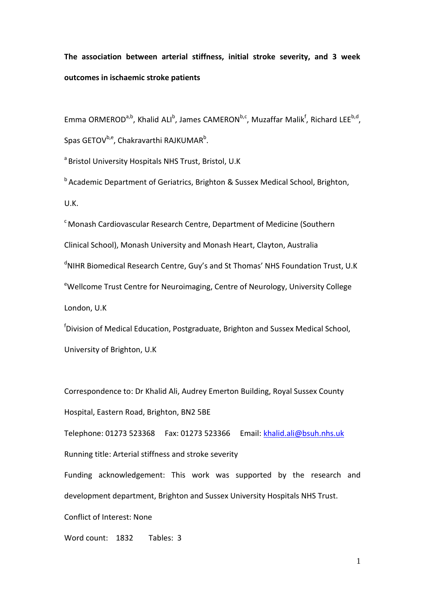# **The association between arterial stiffness, initial stroke severity, and 3 week outcomes in ischaemic stroke patients**

Emma ORMEROD<sup>a,b</sup>, Khalid ALI<sup>b</sup>, James CAMERON<sup>b,c</sup>, Muzaffar Malik<sup>f</sup>, Richard LEE<sup>b,d</sup>, Spas GETOV<sup>b,e</sup>, Chakravarthi RAJKUMAR<sup>b</sup>.

<sup>a</sup> Bristol University Hospitals NHS Trust, Bristol, U.K

 $b$  Academic Department of Geriatrics, Brighton & Sussex Medical School, Brighton, U.K.

 $\textdegree$  Monash Cardiovascular Research Centre, Department of Medicine (Southern Clinical School), Monash University and Monash Heart, Clayton, Australia  $\textsuperscript{d}$ NIHR Biomedical Research Centre, Guy's and St Thomas' NHS Foundation Trust, U.K eWellcome Trust Centre for Neuroimaging, Centre of Neurology, University College London, U.K

<sup>f</sup>Division of Medical Education, Postgraduate, Brighton and Sussex Medical School, University of Brighton, U.K

Correspondence to: Dr Khalid Ali, Audrey Emerton Building, Royal Sussex County Hospital, Eastern Road, Brighton, BN2 5BE

Telephone: 01273 523368 Fax: 01273 523366 Email: [khalid.ali@bsuh.nhs.uk](mailto:khalid.ali@bsuh.nhs.uk) Running title: Arterial stiffness and stroke severity

Funding acknowledgement: This work was supported by the research and development department, Brighton and Sussex University Hospitals NHS Trust.

Conflict of Interest: None

Word count: 1832 Tables: 3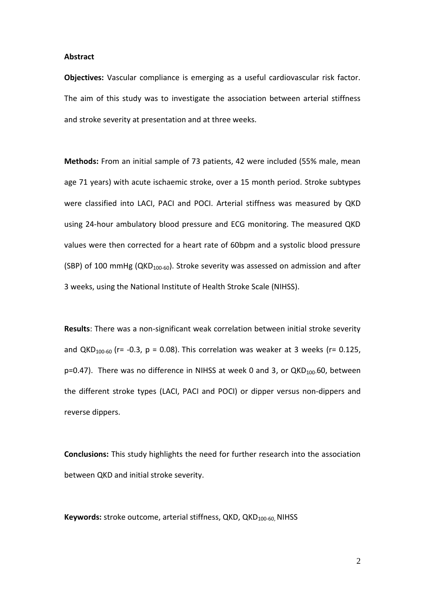#### **Abstract**

**Objectives:** Vascular compliance is emerging as a useful cardiovascular risk factor. The aim of this study was to investigate the association between arterial stiffness and stroke severity at presentation and at three weeks.

**Methods:** From an initial sample of 73 patients, 42 were included (55% male, mean age 71 years) with acute ischaemic stroke, over a 15 month period. Stroke subtypes were classified into LACI, PACI and POCI. Arterial stiffness was measured by QKD using 24-hour ambulatory blood pressure and ECG monitoring. The measured QKD values were then corrected for a heart rate of 60bpm and a systolic blood pressure (SBP) of 100 mmHg (QKD<sub>100-60</sub>). Stroke severity was assessed on admission and after 3 weeks, using the National Institute of Health Stroke Scale (NIHSS).

**Results**: There was a non-significant weak correlation between initial stroke severity and QKD<sub>100-60</sub> (r= -0.3, p = 0.08). This correlation was weaker at 3 weeks (r= 0.125,  $p=0.47$ ). There was no difference in NIHSS at week 0 and 3, or QKD $_{100}$ -60, between the different stroke types (LACI, PACI and POCI) or dipper versus non-dippers and reverse dippers.

**Conclusions:** This study highlights the need for further research into the association between QKD and initial stroke severity.

Keywords: stroke outcome, arterial stiffness, QKD, QKD<sub>100-60</sub>, NIHSS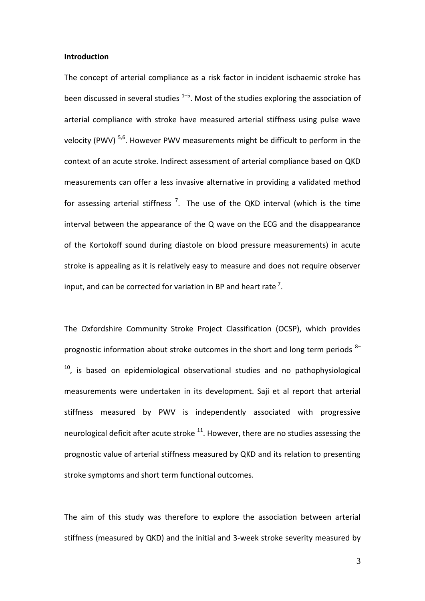#### **Introduction**

The concept of arterial compliance as a risk factor in incident ischaemic stroke has been discussed in several studies <sup>1–5</sup>. Most of the studies exploring the association of arterial compliance with stroke have measured arterial stiffness using pulse wave velocity (PWV)<sup>5,6</sup>. However PWV measurements might be difficult to perform in the context of an acute stroke. Indirect assessment of arterial compliance based on QKD measurements can offer a less invasive alternative in providing a validated method for assessing arterial stiffness<sup>7</sup>. The use of the QKD interval (which is the time interval between the appearance of the Q wave on the ECG and the disappearance of the Kortokoff sound during diastole on blood pressure measurements) in acute stroke is appealing as it is relatively easy to measure and does not require observer input, and can be corrected for variation in BP and heart rate<sup>7</sup>.

The Oxfordshire Community Stroke Project Classification (OCSP), which provides prognostic information about stroke outcomes in the short and long term periods  $8 10$ , is based on epidemiological observational studies and no pathophysiological measurements were undertaken in its development. Saji et al report that arterial stiffness measured by PWV is independently associated with progressive neurological deficit after acute stroke  $11$ . However, there are no studies assessing the prognostic value of arterial stiffness measured by QKD and its relation to presenting stroke symptoms and short term functional outcomes.

The aim of this study was therefore to explore the association between arterial stiffness (measured by QKD) and the initial and 3-week stroke severity measured by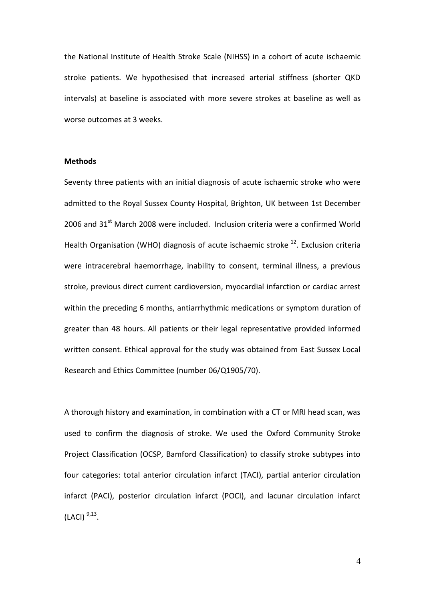the National Institute of Health Stroke Scale (NIHSS) in a cohort of acute ischaemic stroke patients. We hypothesised that increased arterial stiffness (shorter QKD intervals) at baseline is associated with more severe strokes at baseline as well as worse outcomes at 3 weeks.

## **Methods**

Seventy three patients with an initial diagnosis of acute ischaemic stroke who were admitted to the Royal Sussex County Hospital, Brighton, UK between 1st December 2006 and  $31<sup>st</sup>$  March 2008 were included. Inclusion criteria were a confirmed World Health Organisation (WHO) diagnosis of acute ischaemic stroke  $^{12}$ . Exclusion criteria were intracerebral haemorrhage, inability to consent, terminal illness, a previous stroke, previous direct current cardioversion, myocardial infarction or cardiac arrest within the preceding 6 months, antiarrhythmic medications or symptom duration of greater than 48 hours. All patients or their legal representative provided informed written consent. Ethical approval for the study was obtained from East Sussex Local Research and Ethics Committee (number 06/Q1905/70).

A thorough history and examination, in combination with a CT or MRI head scan, was used to confirm the diagnosis of stroke. We used the Oxford Community Stroke Project Classification (OCSP, Bamford Classification) to classify stroke subtypes into four categories: total anterior circulation infarct (TACI), partial anterior circulation infarct (PACI), posterior circulation infarct (POCI), and lacunar circulation infarct  $(LACI)$ <sup>9,13</sup>.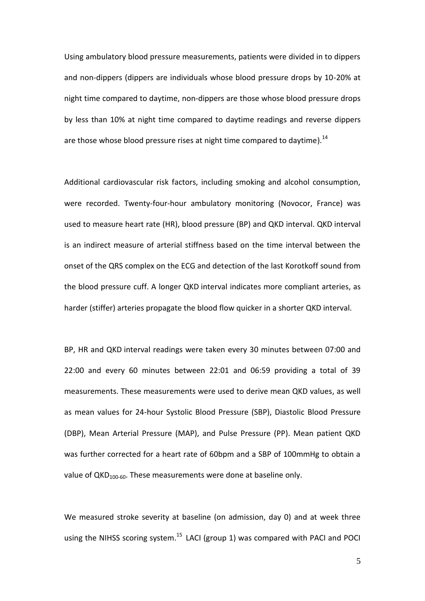Using ambulatory blood pressure measurements, patients were divided in to dippers and non-dippers (dippers are individuals whose blood pressure drops by 10-20% at night time compared to daytime, non-dippers are those whose blood pressure drops by less than 10% at night time compared to daytime readings and reverse dippers are those whose blood pressure rises at night time compared to daytime).<sup>14</sup>

Additional cardiovascular risk factors, including smoking and alcohol consumption, were recorded. Twenty-four-hour ambulatory monitoring (Novocor, France) was used to measure heart rate (HR), blood pressure (BP) and QKD interval. QKD interval is an indirect measure of arterial stiffness based on the time interval between the onset of the QRS complex on the ECG and detection of the last Korotkoff sound from the blood pressure cuff. A longer QKD interval indicates more compliant arteries, as harder (stiffer) arteries propagate the blood flow quicker in a shorter QKD interval.

BP, HR and QKD interval readings were taken every 30 minutes between 07:00 and 22:00 and every 60 minutes between 22:01 and 06:59 providing a total of 39 measurements. These measurements were used to derive mean QKD values, as well as mean values for 24-hour Systolic Blood Pressure (SBP), Diastolic Blood Pressure (DBP), Mean Arterial Pressure (MAP), and Pulse Pressure (PP). Mean patient QKD was further corrected for a heart rate of 60bpm and a SBP of 100mmHg to obtain a value of  $QKD_{100-60}$ . These measurements were done at baseline only.

We measured stroke severity at baseline (on admission, day 0) and at week three using the NIHSS scoring system.<sup>15</sup> LACI (group 1) was compared with PACI and POCI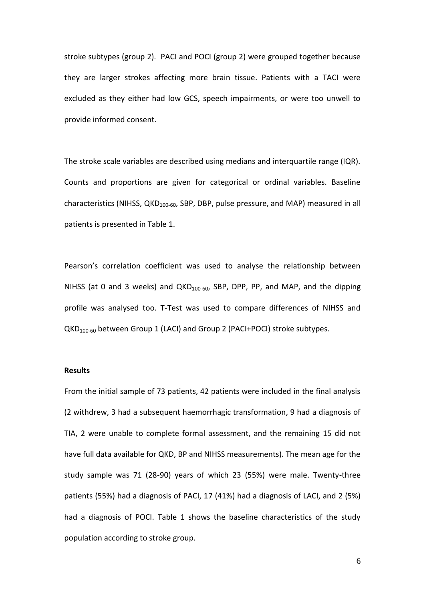stroke subtypes (group 2). PACI and POCI (group 2) were grouped together because they are larger strokes affecting more brain tissue. Patients with a TACI were excluded as they either had low GCS, speech impairments, or were too unwell to provide informed consent.

The stroke scale variables are described using medians and interquartile range (IQR). Counts and proportions are given for categorical or ordinal variables. Baseline characteristics (NIHSS,  $QKD_{100-60}$ , SBP, DBP, pulse pressure, and MAP) measured in all patients is presented in Table 1.

Pearson's correlation coefficient was used to analyse the relationship between NIHSS (at 0 and 3 weeks) and  $QKD_{100-60}$ , SBP, DPP, PP, and MAP, and the dipping profile was analysed too. T-Test was used to compare differences of NIHSS and QKD100-60 between Group 1 (LACI) and Group 2 (PACI+POCI) stroke subtypes.

#### **Results**

From the initial sample of 73 patients, 42 patients were included in the final analysis (2 withdrew, 3 had a subsequent haemorrhagic transformation, 9 had a diagnosis of TIA, 2 were unable to complete formal assessment, and the remaining 15 did not have full data available for QKD, BP and NIHSS measurements). The mean age for the study sample was 71 (28-90) years of which 23 (55%) were male. Twenty-three patients (55%) had a diagnosis of PACI, 17 (41%) had a diagnosis of LACI, and 2 (5%) had a diagnosis of POCI. Table 1 shows the baseline characteristics of the study population according to stroke group.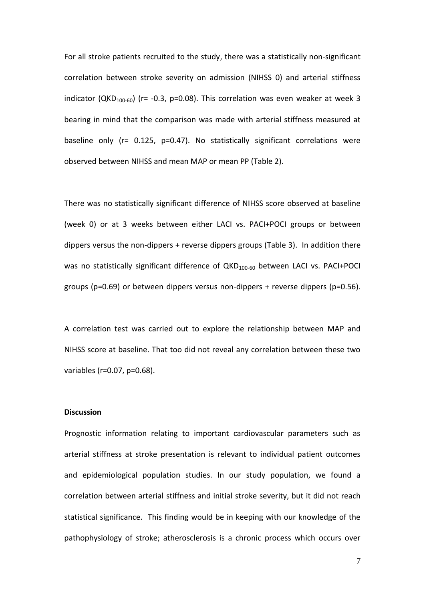For all stroke patients recruited to the study, there was a statistically non-significant correlation between stroke severity on admission (NIHSS 0) and arterial stiffness indicator (QKD<sub>100-60</sub>) (r= -0.3, p=0.08). This correlation was even weaker at week 3 bearing in mind that the comparison was made with arterial stiffness measured at baseline only (r= 0.125, p=0.47). No statistically significant correlations were observed between NIHSS and mean MAP or mean PP (Table 2).

There was no statistically significant difference of NIHSS score observed at baseline (week 0) or at 3 weeks between either LACI vs. PACI+POCI groups or between dippers versus the non-dippers + reverse dippers groups (Table 3). In addition there was no statistically significant difference of  $QKD_{100-60}$  between LACI vs. PACI+POCI groups (p=0.69) or between dippers versus non-dippers + reverse dippers (p=0.56).

A correlation test was carried out to explore the relationship between MAP and NIHSS score at baseline. That too did not reveal any correlation between these two variables (r=0.07, p=0.68).

#### **Discussion**

Prognostic information relating to important cardiovascular parameters such as arterial stiffness at stroke presentation is relevant to individual patient outcomes and epidemiological population studies. In our study population, we found a correlation between arterial stiffness and initial stroke severity, but it did not reach statistical significance. This finding would be in keeping with our knowledge of the pathophysiology of stroke; atherosclerosis is a chronic process which occurs over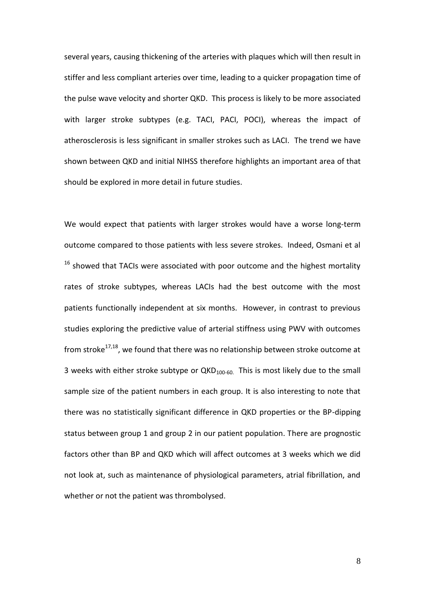several years, causing thickening of the arteries with plaques which will then result in stiffer and less compliant arteries over time, leading to a quicker propagation time of the pulse wave velocity and shorter QKD. This process is likely to be more associated with larger stroke subtypes (e.g. TACI, PACI, POCI), whereas the impact of atherosclerosis is less significant in smaller strokes such as LACI. The trend we have shown between QKD and initial NIHSS therefore highlights an important area of that should be explored in more detail in future studies.

We would expect that patients with larger strokes would have a worse long-term outcome compared to those patients with less severe strokes. Indeed, Osmani et al  $16$  showed that TACIs were associated with poor outcome and the highest mortality rates of stroke subtypes, whereas LACIs had the best outcome with the most patients functionally independent at six months. However, in contrast to previous studies exploring the predictive value of arterial stiffness using PWV with outcomes from stroke $17,18$ , we found that there was no relationship between stroke outcome at 3 weeks with either stroke subtype or  $QKD_{100-60}$ . This is most likely due to the small sample size of the patient numbers in each group. It is also interesting to note that there was no statistically significant difference in QKD properties or the BP-dipping status between group 1 and group 2 in our patient population. There are prognostic factors other than BP and QKD which will affect outcomes at 3 weeks which we did not look at, such as maintenance of physiological parameters, atrial fibrillation, and whether or not the patient was thrombolysed.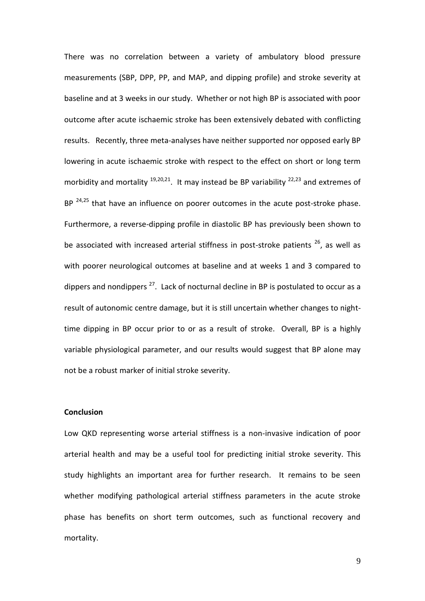There was no correlation between a variety of ambulatory blood pressure measurements (SBP, DPP, PP, and MAP, and dipping profile) and stroke severity at baseline and at 3 weeks in our study. Whether or not high BP is associated with poor outcome after acute ischaemic stroke has been extensively debated with conflicting results. Recently, three meta-analyses have neither supported nor opposed early BP lowering in acute ischaemic stroke with respect to the effect on short or long term morbidity and mortality  $19,20,21$ . It may instead be BP variability  $22,23$  and extremes of BP  $24,25$  that have an influence on poorer outcomes in the acute post-stroke phase. Furthermore, a reverse-dipping profile in diastolic BP has previously been shown to be associated with increased arterial stiffness in post-stroke patients  $26$ , as well as with poorer neurological outcomes at baseline and at weeks 1 and 3 compared to dippers and nondippers<sup>27</sup>. Lack of nocturnal decline in BP is postulated to occur as a result of autonomic centre damage, but it is still uncertain whether changes to nighttime dipping in BP occur prior to or as a result of stroke. Overall, BP is a highly variable physiological parameter, and our results would suggest that BP alone may not be a robust marker of initial stroke severity.

### **Conclusion**

Low QKD representing worse arterial stiffness is a non-invasive indication of poor arterial health and may be a useful tool for predicting initial stroke severity. This study highlights an important area for further research. It remains to be seen whether modifying pathological arterial stiffness parameters in the acute stroke phase has benefits on short term outcomes, such as functional recovery and mortality.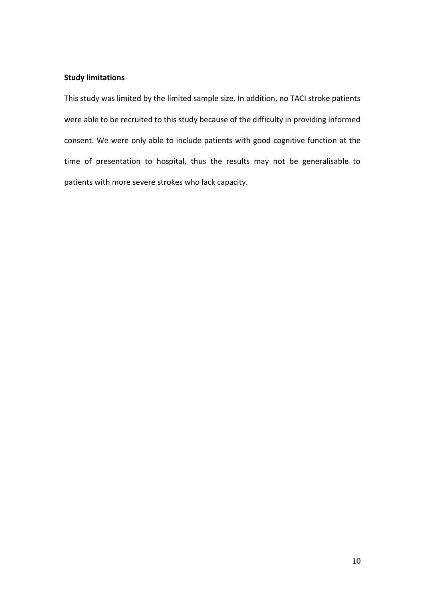## **Study limitations**

This study was limited by the limited sample size. In addition, no TACI stroke patients were able to be recruited to this study because of the difficulty in providing informed consent. We were only able to include patients with good cognitive function at the time of presentation to hospital, thus the results may not be generalisable to patients with more severe strokes who lack capacity.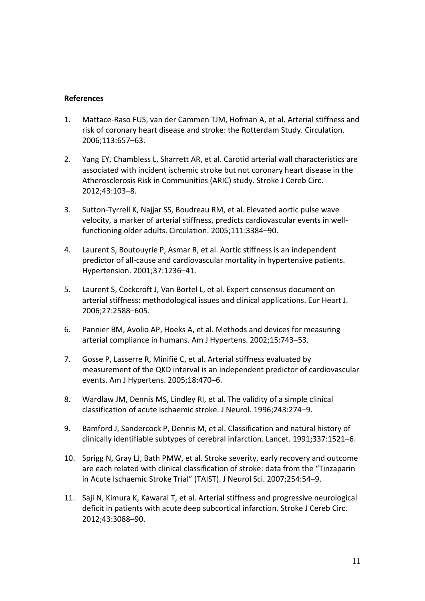## **References**

- 1. Mattace-Raso FUS, van der Cammen TJM, Hofman A, et al. Arterial stiffness and risk of coronary heart disease and stroke: the Rotterdam Study. Circulation. 2006;113:657–63.
- 2. Yang EY, Chambless L, Sharrett AR, et al. Carotid arterial wall characteristics are associated with incident ischemic stroke but not coronary heart disease in the Atherosclerosis Risk in Communities (ARIC) study. Stroke J Cereb Circ. 2012;43:103–8.
- 3. Sutton-Tyrrell K, Najjar SS, Boudreau RM, et al. Elevated aortic pulse wave velocity, a marker of arterial stiffness, predicts cardiovascular events in wellfunctioning older adults. Circulation. 2005;111:3384–90.
- 4. Laurent S, Boutouyrie P, Asmar R, et al. Aortic stiffness is an independent predictor of all-cause and cardiovascular mortality in hypertensive patients. Hypertension. 2001;37:1236–41.
- 5. Laurent S, Cockcroft J, Van Bortel L, et al. Expert consensus document on arterial stiffness: methodological issues and clinical applications. Eur Heart J. 2006;27:2588–605.
- 6. Pannier BM, Avolio AP, Hoeks A, et al. Methods and devices for measuring arterial compliance in humans. Am J Hypertens. 2002;15:743–53.
- 7. Gosse P, Lasserre R, Minifié C, et al. Arterial stiffness evaluated by measurement of the QKD interval is an independent predictor of cardiovascular events. Am J Hypertens. 2005;18:470–6.
- 8. Wardlaw JM, Dennis MS, Lindley RI, et al. The validity of a simple clinical classification of acute ischaemic stroke. J Neurol. 1996;243:274–9.
- 9. Bamford J, Sandercock P, Dennis M, et al. Classification and natural history of clinically identifiable subtypes of cerebral infarction. Lancet. 1991;337:1521–6.
- 10. Sprigg N, Gray LJ, Bath PMW, et al. Stroke severity, early recovery and outcome are each related with clinical classification of stroke: data from the "Tinzaparin in Acute Ischaemic Stroke Trial" (TAIST). J Neurol Sci. 2007;254:54–9.
- 11. Saji N, Kimura K, Kawarai T, et al. Arterial stiffness and progressive neurological deficit in patients with acute deep subcortical infarction. Stroke J Cereb Circ. 2012;43:3088–90.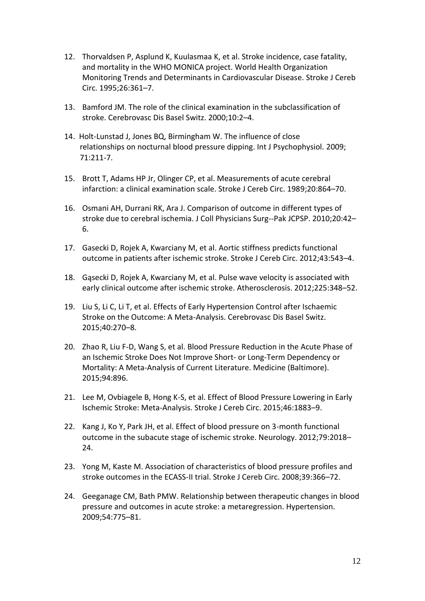- 12. Thorvaldsen P, Asplund K, Kuulasmaa K, et al. Stroke incidence, case fatality, and mortality in the WHO MONICA project. World Health Organization Monitoring Trends and Determinants in Cardiovascular Disease. Stroke J Cereb Circ. 1995;26:361–7.
- 13. Bamford JM. The role of the clinical examination in the subclassification of stroke. Cerebrovasc Dis Basel Switz. 2000;10:2–4.
- 14. Holt-Lunstad J, Jones BQ, Birmingham W. The influence of close relationships on nocturnal blood pressure dipping. Int J Psychophysiol. 2009; 71:211-7.
- 15. Brott T, Adams HP Jr, Olinger CP, et al. Measurements of acute cerebral infarction: a clinical examination scale. Stroke J Cereb Circ. 1989;20:864–70.
- 16. Osmani AH, Durrani RK, Ara J. Comparison of outcome in different types of stroke due to cerebral ischemia. J Coll Physicians Surg--Pak JCPSP. 2010;20:42– 6.
- 17. Gasecki D, Rojek A, Kwarciany M, et al. Aortic stiffness predicts functional outcome in patients after ischemic stroke. Stroke J Cereb Circ. 2012;43:543–4.
- 18. Gąsecki D, Rojek A, Kwarciany M, et al. Pulse wave velocity is associated with early clinical outcome after ischemic stroke. Atherosclerosis. 2012;225:348–52.
- 19. Liu S, Li C, Li T, et al. Effects of Early Hypertension Control after Ischaemic Stroke on the Outcome: A Meta-Analysis. Cerebrovasc Dis Basel Switz. 2015;40:270–8.
- 20. Zhao R, Liu F-D, Wang S, et al. Blood Pressure Reduction in the Acute Phase of an Ischemic Stroke Does Not Improve Short- or Long-Term Dependency or Mortality: A Meta-Analysis of Current Literature. Medicine (Baltimore). 2015;94:896.
- 21. Lee M, Ovbiagele B, Hong K-S, et al. Effect of Blood Pressure Lowering in Early Ischemic Stroke: Meta-Analysis. Stroke J Cereb Circ. 2015;46:1883–9.
- 22. Kang J, Ko Y, Park JH, et al. Effect of blood pressure on 3-month functional outcome in the subacute stage of ischemic stroke. Neurology. 2012;79:2018– 24.
- 23. Yong M, Kaste M. Association of characteristics of blood pressure profiles and stroke outcomes in the ECASS-II trial. Stroke J Cereb Circ. 2008;39:366–72.
- 24. Geeganage CM, Bath PMW. Relationship between therapeutic changes in blood pressure and outcomes in acute stroke: a metaregression. Hypertension. 2009;54:775–81.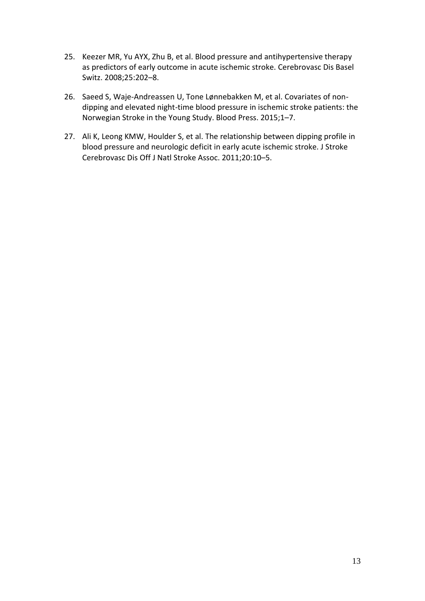- 25. Keezer MR, Yu AYX, Zhu B, et al. Blood pressure and antihypertensive therapy as predictors of early outcome in acute ischemic stroke. Cerebrovasc Dis Basel Switz. 2008;25:202–8.
- 26. Saeed S, Waje-Andreassen U, Tone Lønnebakken M, et al. Covariates of nondipping and elevated night-time blood pressure in ischemic stroke patients: the Norwegian Stroke in the Young Study. Blood Press. 2015;1–7.
- 27. Ali K, Leong KMW, Houlder S, et al. The relationship between dipping profile in blood pressure and neurologic deficit in early acute ischemic stroke. J Stroke Cerebrovasc Dis Off J Natl Stroke Assoc. 2011;20:10–5.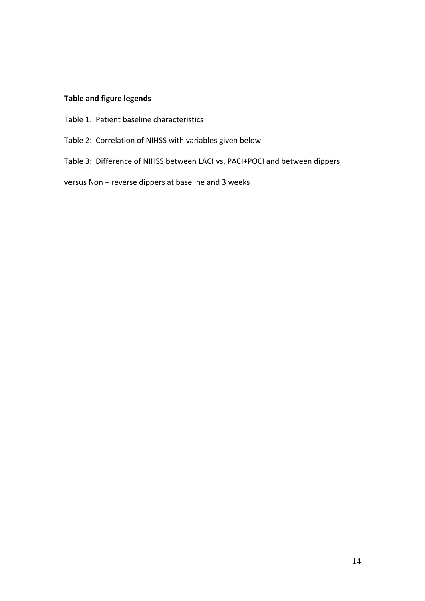# **Table and figure legends**

- Table 1: Patient baseline characteristics
- Table 2: Correlation of NIHSS with variables given below
- Table 3: Difference of NIHSS between LACI vs. PACI+POCI and between dippers

versus Non + reverse dippers at baseline and 3 weeks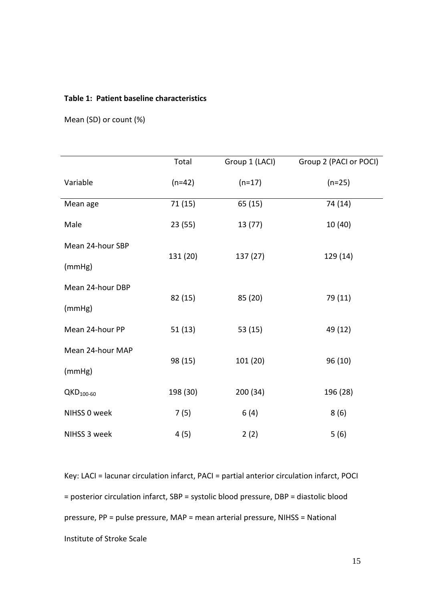## **Table 1: Patient baseline characteristics**

Mean (SD) or count (%)

|                  | Total    | Group 1 (LACI) | Group 2 (PACI or POCI) |
|------------------|----------|----------------|------------------------|
| Variable         | $(n=42)$ | $(n=17)$       | $(n=25)$               |
| Mean age         | 71(15)   | 65 (15)        | 74 (14)                |
| Male             | 23(55)   | 13 (77)        | 10 (40)                |
| Mean 24-hour SBP | 131 (20) | 137 (27)       | 129 (14)               |
| (mmHg)           |          |                |                        |
| Mean 24-hour DBP | 82 (15)  | 85 (20)        | 79 (11)                |
| (mmHg)           |          |                |                        |
| Mean 24-hour PP  | 51(13)   | 53 (15)        | 49 (12)                |
| Mean 24-hour MAP |          |                |                        |
| (mmHg)           | 98 (15)  | 101 (20)       | 96 (10)                |
| $QKD_{100-60}$   | 198 (30) | 200 (34)       | 196 (28)               |
| NIHSS 0 week     | 7(5)     | 6(4)           | 8(6)                   |
| NIHSS 3 week     | 4(5)     | 2(2)           | 5(6)                   |

Key: LACI = lacunar circulation infarct, PACI = partial anterior circulation infarct, POCI = posterior circulation infarct, SBP = systolic blood pressure, DBP = diastolic blood pressure, PP = pulse pressure, MAP = mean arterial pressure, NIHSS = National Institute of Stroke Scale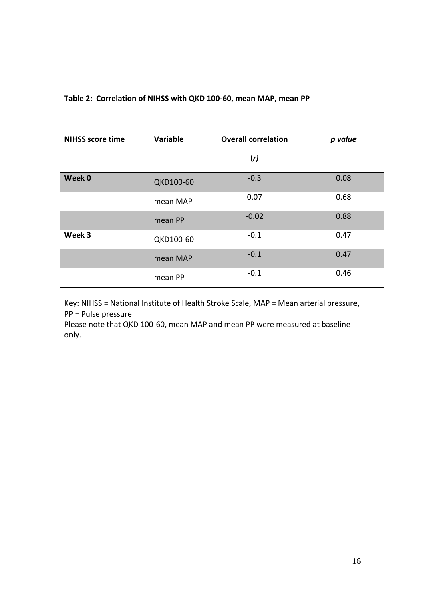## **Table 2: Correlation of NIHSS with QKD 100-60, mean MAP, mean PP**

| <b>NIHSS score time</b> | Variable  | <b>Overall correlation</b> | p value |
|-------------------------|-----------|----------------------------|---------|
|                         |           | (r)                        |         |
| Week 0                  | QKD100-60 | $-0.3$                     | 0.08    |
|                         | mean MAP  | 0.07                       | 0.68    |
|                         | mean PP   | $-0.02$                    | 0.88    |
| Week 3                  | QKD100-60 | $-0.1$                     | 0.47    |
|                         | mean MAP  | $-0.1$                     | 0.47    |
|                         | mean PP   | $-0.1$                     | 0.46    |

Key: NIHSS = National Institute of Health Stroke Scale, MAP = Mean arterial pressure, PP = Pulse pressure

Please note that QKD 100-60, mean MAP and mean PP were measured at baseline only.